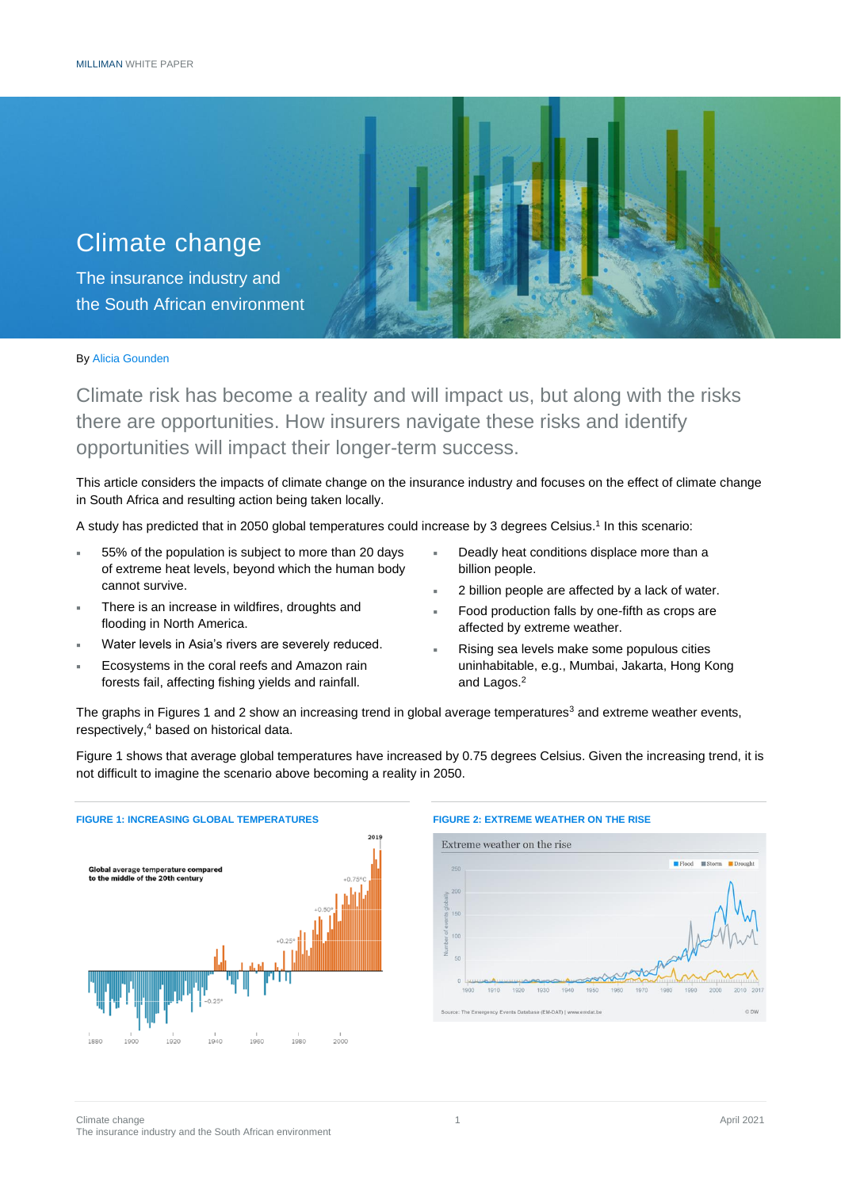

By Alicia Gounden

Climate risk has become a reality and will impact us, but along with the risks there are opportunities. How insurers navigate these risks and identify opportunities will impact their longer-term success.

This article considers the impacts of climate change on the insurance industry and focuses on the effect of climate change in South Africa and resulting action being taken locally.

A study has predicted that in 2050 global temperatures could increase by 3 degrees Celsius.<sup>1</sup> In this scenario:

- 55% of the population is subject to more than 20 days of extreme heat levels, beyond which the human body cannot survive.
- There is an increase in wildfires, droughts and flooding in North America.
- Water levels in Asia's rivers are severely reduced.
- Ecosystems in the coral reefs and Amazon rain forests fail, affecting fishing yields and rainfall.
- Deadly heat conditions displace more than a billion people.
- 2 billion people are affected by a lack of water.
- Food production falls by one-fifth as crops are affected by extreme weather.
- Rising sea levels make some populous cities uninhabitable, e.g., Mumbai, Jakarta, Hong Kong and Lagos.<sup>2</sup>

The graphs in Figures 1 and 2 show an increasing trend in global average temperatures<sup>3</sup> and extreme weather events, respectively,<sup>4</sup> based on historical data.

Figure 1 shows that average global temperatures have increased by 0.75 degrees Celsius. Given the increasing trend, it is not difficult to imagine the scenario above becoming a reality in 2050.



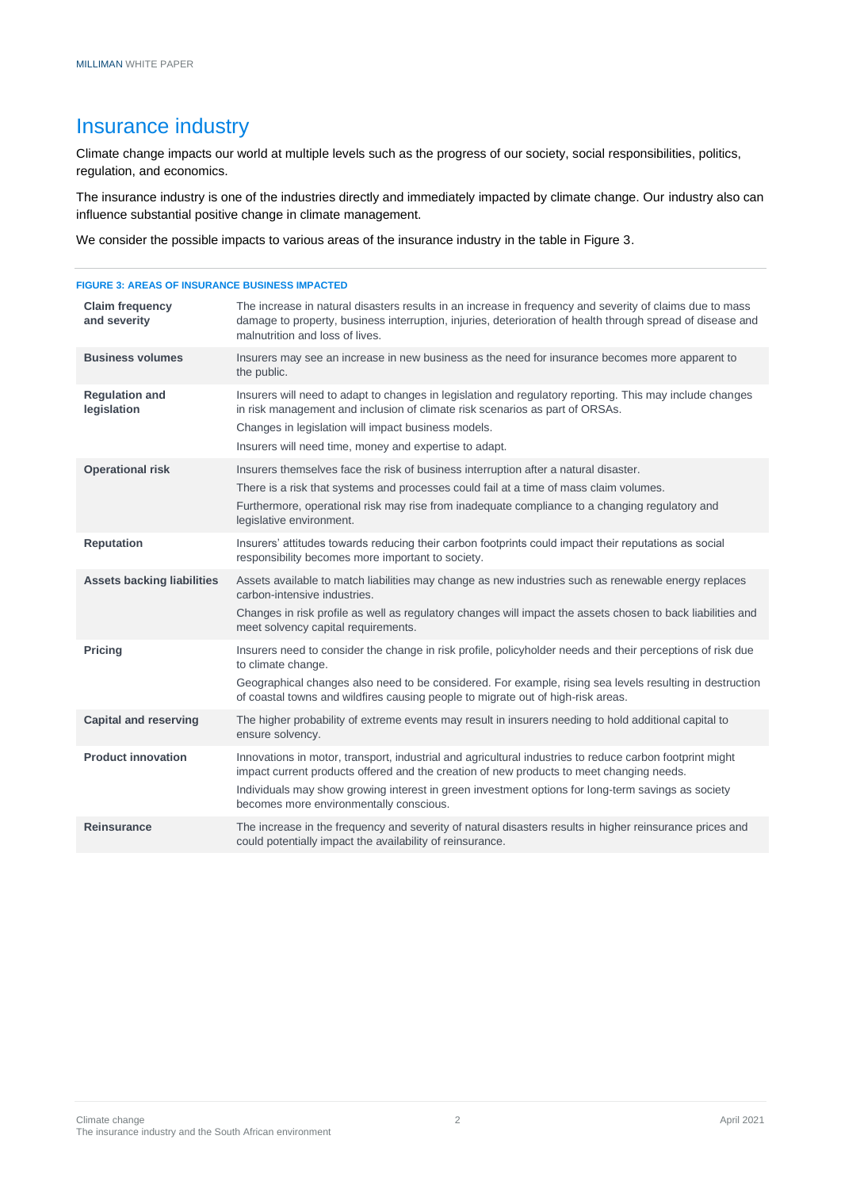### Insurance industry

Climate change impacts our world at multiple levels such as the progress of our society, social responsibilities, politics, regulation, and economics.

The insurance industry is one of the industries directly and immediately impacted by climate change. Our industry also can influence substantial positive change in climate management.

We consider the possible impacts to various areas of the insurance industry in the table in Figure 3.

### **FIGURE 3: AREAS OF INSURANCE BUSINESS IMPACTED Claim frequency and severity** The increase in natural disasters results in an increase in frequency and severity of claims due to mass damage to property, business interruption, injuries, deterioration of health through spread of disease and malnutrition and loss of lives. **Business volumes** Insurers may see an increase in new business as the need for insurance becomes more apparent to the public. **Regulation and legislation** Insurers will need to adapt to changes in legislation and regulatory reporting. This may include changes in risk management and inclusion of climate risk scenarios as part of ORSAs. Changes in legislation will impact business models. Insurers will need time, money and expertise to adapt. **Operational risk** Insurers themselves face the risk of business interruption after a natural disaster. There is a risk that systems and processes could fail at a time of mass claim volumes. Furthermore, operational risk may rise from inadequate compliance to a changing regulatory and legislative environment. **Reputation** Insurers' attitudes towards reducing their carbon footprints could impact their reputations as social responsibility becomes more important to society. **Assets backing liabilities** Assets available to match liabilities may change as new industries such as renewable energy replaces carbon-intensive industries. Changes in risk profile as well as regulatory changes will impact the assets chosen to back liabilities and meet solvency capital requirements. **Pricing Insurers need to consider the change in risk profile, policyholder needs and their perceptions of risk due** to climate change. Geographical changes also need to be considered. For example, rising sea levels resulting in destruction of coastal towns and wildfires causing people to migrate out of high-risk areas. **Capital and reserving** The higher probability of extreme events may result in insurers needing to hold additional capital to ensure solvency. **Product innovation** Innovations in motor, transport, industrial and agricultural industries to reduce carbon footprint might impact current products offered and the creation of new products to meet changing needs. Individuals may show growing interest in green investment options for long-term savings as society becomes more environmentally conscious. **Reinsurance** The increase in the frequency and severity of natural disasters results in higher reinsurance prices and could potentially impact the availability of reinsurance.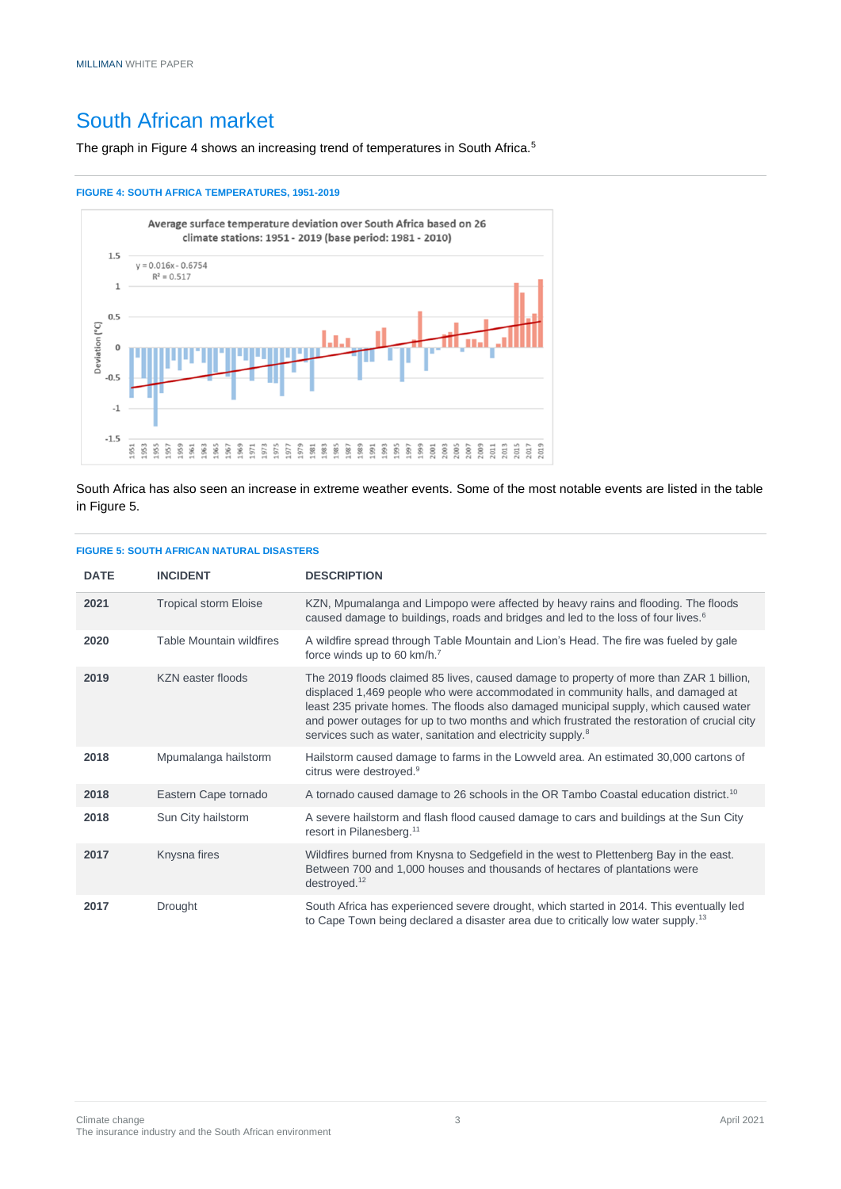## South African market

The graph in Figure 4 shows an increasing trend of temperatures in South Africa.<sup>5</sup>

#### **FIGURE 4: SOUTH AFRICA TEMPERATURES, 1951-2019**



South Africa has also seen an increase in extreme weather events. Some of the most notable events are listed in the table in Figure 5.

#### **FIGURE 5: SOUTH AFRICAN NATURAL DISASTERS**

| <b>DATE</b> | <b>INCIDENT</b>              | <b>DESCRIPTION</b>                                                                                                                                                                                                                                                                                                                                                                                                                            |
|-------------|------------------------------|-----------------------------------------------------------------------------------------------------------------------------------------------------------------------------------------------------------------------------------------------------------------------------------------------------------------------------------------------------------------------------------------------------------------------------------------------|
| 2021        | <b>Tropical storm Eloise</b> | KZN, Mpumalanga and Limpopo were affected by heavy rains and flooding. The floods<br>caused damage to buildings, roads and bridges and led to the loss of four lives. <sup>6</sup>                                                                                                                                                                                                                                                            |
| 2020        | Table Mountain wildfires     | A wildfire spread through Table Mountain and Lion's Head. The fire was fueled by gale<br>force winds up to 60 km/h. <sup>7</sup>                                                                                                                                                                                                                                                                                                              |
| 2019        | <b>KZN</b> easter floods     | The 2019 floods claimed 85 lives, caused damage to property of more than ZAR 1 billion,<br>displaced 1,469 people who were accommodated in community halls, and damaged at<br>least 235 private homes. The floods also damaged municipal supply, which caused water<br>and power outages for up to two months and which frustrated the restoration of crucial city<br>services such as water, sanitation and electricity supply. <sup>8</sup> |
| 2018        | Mpumalanga hailstorm         | Hailstorm caused damage to farms in the Lowveld area. An estimated 30,000 cartons of<br>citrus were destroyed. <sup>9</sup>                                                                                                                                                                                                                                                                                                                   |
| 2018        | Eastern Cape tornado         | A tornado caused damage to 26 schools in the OR Tambo Coastal education district. <sup>10</sup>                                                                                                                                                                                                                                                                                                                                               |
| 2018        | Sun City hailstorm           | A severe hailstorm and flash flood caused damage to cars and buildings at the Sun City<br>resort in Pilanesberg. <sup>11</sup>                                                                                                                                                                                                                                                                                                                |
| 2017        | Knysna fires                 | Wildfires burned from Knysna to Sedgefield in the west to Plettenberg Bay in the east.<br>Between 700 and 1,000 houses and thousands of hectares of plantations were<br>destroyed. $12$                                                                                                                                                                                                                                                       |
| 2017        | Drought                      | South Africa has experienced severe drought, which started in 2014. This eventually led<br>to Cape Town being declared a disaster area due to critically low water supply. <sup>13</sup>                                                                                                                                                                                                                                                      |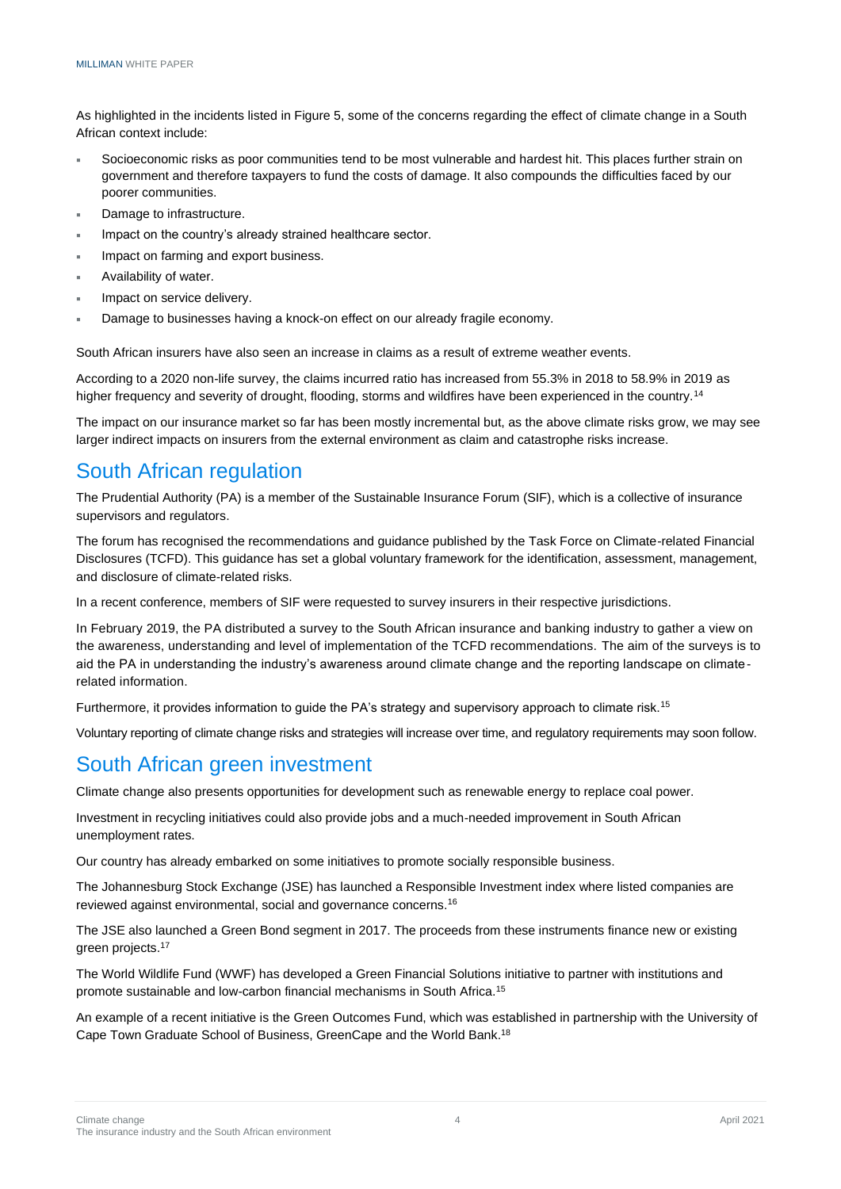As highlighted in the incidents listed in Figure 5, some of the concerns regarding the effect of climate change in a South African context include:

- Socioeconomic risks as poor communities tend to be most vulnerable and hardest hit. This places further strain on government and therefore taxpayers to fund the costs of damage. It also compounds the difficulties faced by our poorer communities.
- Damage to infrastructure.
- Impact on the country's already strained healthcare sector.
- Impact on farming and export business.
- Availability of water.
- Impact on service delivery.
- Damage to businesses having a knock-on effect on our already fragile economy.

South African insurers have also seen an increase in claims as a result of extreme weather events.

According to a 2020 non-life survey, the claims incurred ratio has increased from 55.3% in 2018 to 58.9% in 2019 as higher frequency and severity of drought, flooding, storms and wildfires have been experienced in the country.<sup>14</sup>

The impact on our insurance market so far has been mostly incremental but, as the above climate risks grow, we may see larger indirect impacts on insurers from the external environment as claim and catastrophe risks increase.

### South African regulation

The Prudential Authority (PA) is a member of the Sustainable Insurance Forum (SIF), which is a collective of insurance supervisors and regulators.

The forum has recognised the recommendations and guidance published by the Task Force on Climate-related Financial Disclosures (TCFD). This quidance has set a global voluntary framework for the identification, assessment, management, and disclosure of climate-related risks.

In a recent conference, members of SIF were requested to survey insurers in their respective jurisdictions.

In February 2019, the PA distributed a survey to the South African insurance and banking industry to gather a view on the awareness, understanding and level of implementation of the TCFD recommendations. The aim of the surveys is to aid the PA in understanding the industry's awareness around climate change and the reporting landscape on climaterelated information.

Furthermore, it provides information to guide the PA's strategy and supervisory approach to climate risk.<sup>15</sup>

Voluntary reporting of climate change risks and strategies will increase over time, and regulatory requirements may soon follow.

### South African green investment

Climate change also presents opportunities for development such as renewable energy to replace coal power.

Investment in recycling initiatives could also provide jobs and a much-needed improvement in South African unemployment rates.

Our country has already embarked on some initiatives to promote socially responsible business.

The Johannesburg Stock Exchange (JSE) has launched a Responsible Investment index where listed companies are reviewed against environmental, social and governance concerns.<sup>16</sup>

The JSE also launched a Green Bond segment in 2017. The proceeds from these instruments finance new or existing green projects.<sup>17</sup>

The World Wildlife Fund (WWF) has developed a Green Financial Solutions initiative to partner with institutions and promote sustainable and low-carbon financial mechanisms in South Africa.<sup>15</sup>

An example of a recent initiative is the Green Outcomes Fund, which was established in partnership with the University of Cape Town Graduate School of Business, GreenCape and the World Bank.18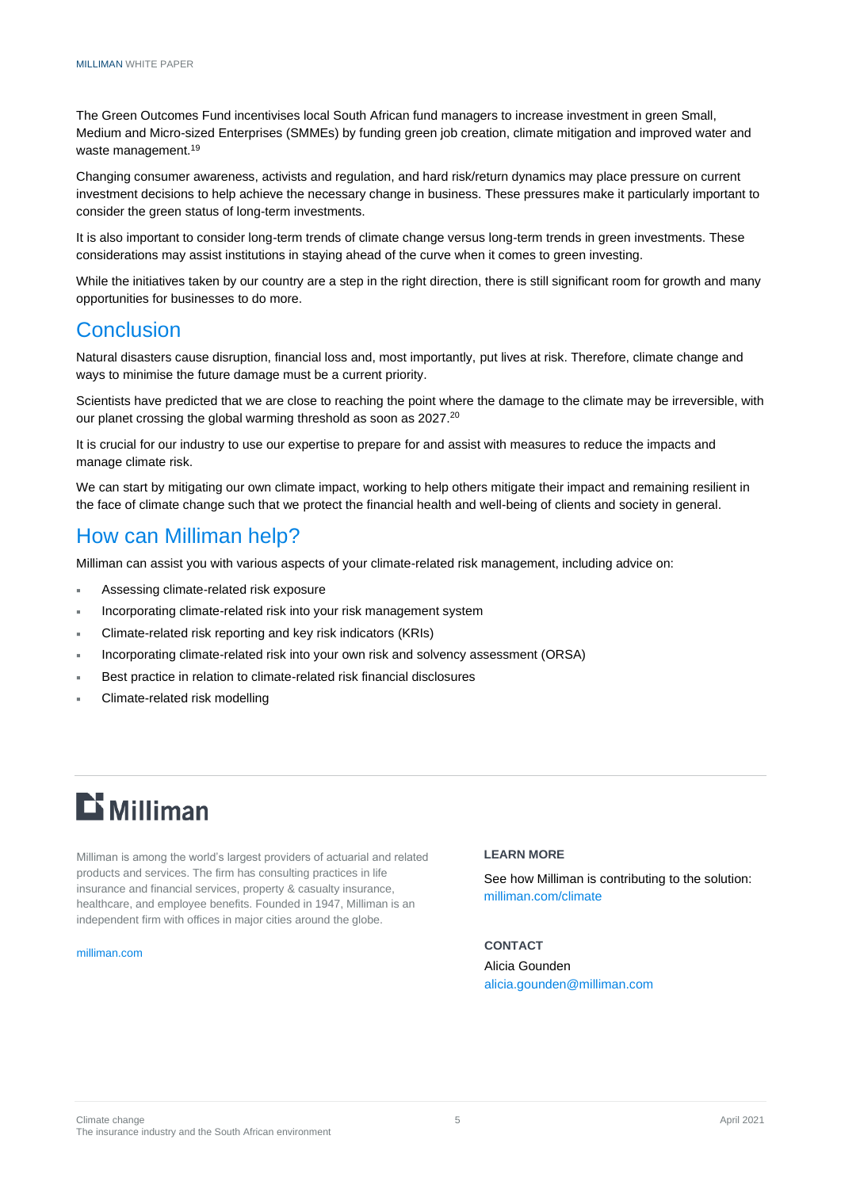The Green Outcomes Fund incentivises local South African fund managers to increase investment in green Small, Medium and Micro-sized Enterprises (SMMEs) by funding green job creation, climate mitigation and improved water and waste management.<sup>19</sup>

Changing consumer awareness, activists and regulation, and hard risk/return dynamics may place pressure on current investment decisions to help achieve the necessary change in business. These pressures make it particularly important to consider the green status of long-term investments.

It is also important to consider long-term trends of climate change versus long-term trends in green investments. These considerations may assist institutions in staying ahead of the curve when it comes to green investing.

While the initiatives taken by our country are a step in the right direction, there is still significant room for growth and many opportunities for businesses to do more.

### **Conclusion**

Natural disasters cause disruption, financial loss and, most importantly, put lives at risk. Therefore, climate change and ways to minimise the future damage must be a current priority.

Scientists have predicted that we are close to reaching the point where the damage to the climate may be irreversible, with our planet crossing the global warming threshold as soon as 2027.<sup>20</sup>

It is crucial for our industry to use our expertise to prepare for and assist with measures to reduce the impacts and manage climate risk.

We can start by mitigating our own climate impact, working to help others mitigate their impact and remaining resilient in the face of climate change such that we protect the financial health and well-being of clients and society in general.

### How can Milliman help?

Milliman can assist you with various aspects of your climate-related risk management, including advice on:

- Assessing climate-related risk exposure
- Incorporating climate-related risk into your risk management system
- Climate-related risk reporting and key risk indicators (KRIs)
- Incorporating climate-related risk into your own risk and solvency assessment (ORSA)
- Best practice in relation to climate-related risk financial disclosures
- Climate-related risk modelling

# $E$  Milliman

Milliman is among the world's largest providers of actuarial and related products and services. The firm has consulting practices in life insurance and financial services, property & casualty insurance, healthcare, and employee benefits. Founded in 1947, Milliman is an independent firm with offices in major cities around the globe.

#### [milliman.com](http://www.milliman.com/)

#### **LEARN MORE**

See how Milliman is contributing to the solution: milliman.com/climate

#### **CONTACT**

Alicia Gounden [alicia.gounden@milliman.com](mailto:alicia.gounden@milliman.com)